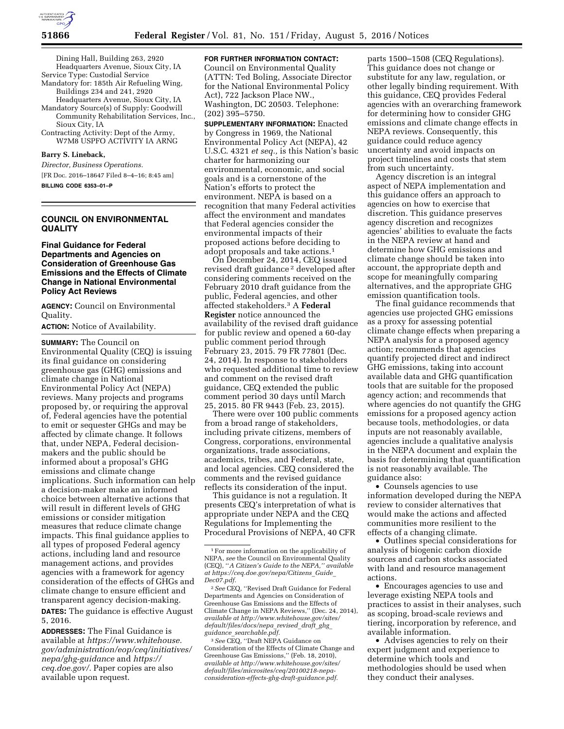

Dining Hall, Building 263, 2920 Headquarters Avenue, Sioux City, IA Service Type: Custodial Service

Mandatory for: 185th Air Refueling Wing, Buildings 234 and 241, 2920

Headquarters Avenue, Sioux City, IA Mandatory Source(s) of Supply: Goodwill Community Rehabilitation Services, Inc., Sioux City, IA

Contracting Activity: Dept of the Army, W7M8 USPFO ACTIVITY IA ARNG

#### **Barry S. Lineback,**

*Director, Business Operations.*  [FR Doc. 2016–18647 Filed 8–4–16; 8:45 am] **BILLING CODE 6353–01–P** 

# **COUNCIL ON ENVIRONMENTAL QUALITY**

## **Final Guidance for Federal Departments and Agencies on Consideration of Greenhouse Gas Emissions and the Effects of Climate Change in National Environmental Policy Act Reviews**

**AGENCY:** Council on Environmental Quality.

**ACTION:** Notice of Availability.

**SUMMARY:** The Council on Environmental Quality (CEQ) is issuing its final guidance on considering greenhouse gas (GHG) emissions and climate change in National Environmental Policy Act (NEPA) reviews. Many projects and programs proposed by, or requiring the approval of, Federal agencies have the potential to emit or sequester GHGs and may be affected by climate change. It follows that, under NEPA, Federal decisionmakers and the public should be informed about a proposal's GHG emissions and climate change implications. Such information can help a decision-maker make an informed choice between alternative actions that will result in different levels of GHG emissions or consider mitigation measures that reduce climate change impacts. This final guidance applies to all types of proposed Federal agency actions, including land and resource management actions, and provides agencies with a framework for agency consideration of the effects of GHGs and climate change to ensure efficient and transparent agency decision-making. **DATES:** The guidance is effective August 5, 2016.

**ADDRESSES:** The Final Guidance is available at *[https://www.whitehouse.](https://www.whitehouse.gov/administration/eop/ceq/initiatives/nepa/ghg-guidance) [gov/administration/eop/ceq/initiatives/](https://www.whitehouse.gov/administration/eop/ceq/initiatives/nepa/ghg-guidance) [nepa/ghg-guidance](https://www.whitehouse.gov/administration/eop/ceq/initiatives/nepa/ghg-guidance)* and *[https://](https://ceq.doe.gov/) [ceq.doe.gov/.](https://ceq.doe.gov/)* Paper copies are also available upon request.

**FOR FURTHER INFORMATION CONTACT:**  Council on Environmental Quality

(ATTN: Ted Boling, Associate Director for the National Environmental Policy Act), 722 Jackson Place NW., Washington, DC 20503. Telephone: (202) 395–5750.

**SUPPLEMENTARY INFORMATION:** Enacted by Congress in 1969, the National Environmental Policy Act (NEPA), 42 U.S.C. 4321 *et seq.,* is this Nation's basic charter for harmonizing our environmental, economic, and social goals and is a cornerstone of the Nation's efforts to protect the environment. NEPA is based on a recognition that many Federal activities affect the environment and mandates that Federal agencies consider the environmental impacts of their proposed actions before deciding to adopt proposals and take actions.1

On December 24, 2014, CEQ issued revised draft guidance 2 developed after considering comments received on the February 2010 draft guidance from the public, Federal agencies, and other affected stakeholders.3 A **Federal Register** notice announced the availability of the revised draft guidance for public review and opened a 60-day public comment period through February 23, 2015. 79 FR 77801 (Dec. 24, 2014). In response to stakeholders who requested additional time to review and comment on the revised draft guidance, CEQ extended the public comment period 30 days until March 25, 2015. 80 FR 9443 (Feb. 23, 2015).

There were over 100 public comments from a broad range of stakeholders, including private citizens, members of Congress, corporations, environmental organizations, trade associations, academics, tribes, and Federal, state, and local agencies. CEQ considered the comments and the revised guidance reflects its consideration of the input.

This guidance is not a regulation. It presents CEQ's interpretation of what is appropriate under NEPA and the CEQ Regulations for Implementing the Procedural Provisions of NEPA, 40 CFR

3*See* CEQ, ''Draft NEPA Guidance on Consideration of the Effects of Climate Change and Greenhouse Gas Emissions,'' (Feb. 18, 2010), *available at [http://www.whitehouse.gov/sites/](http://www.whitehouse.gov/sites/default/files/microsites/ceq/20100218-nepa-consideration-effects-ghg-draft-guidance.pdf) [default/files/microsites/ceq/20100218-nepa](http://www.whitehouse.gov/sites/default/files/microsites/ceq/20100218-nepa-consideration-effects-ghg-draft-guidance.pdf)[consideration-effects-ghg-draft-guidance.pdf.](http://www.whitehouse.gov/sites/default/files/microsites/ceq/20100218-nepa-consideration-effects-ghg-draft-guidance.pdf)* 

parts 1500–1508 (CEQ Regulations). This guidance does not change or substitute for any law, regulation, or other legally binding requirement. With this guidance, CEQ provides Federal agencies with an overarching framework for determining how to consider GHG emissions and climate change effects in NEPA reviews. Consequently, this guidance could reduce agency uncertainty and avoid impacts on project timelines and costs that stem from such uncertainty.

Agency discretion is an integral aspect of NEPA implementation and this guidance offers an approach to agencies on how to exercise that discretion. This guidance preserves agency discretion and recognizes agencies' abilities to evaluate the facts in the NEPA review at hand and determine how GHG emissions and climate change should be taken into account, the appropriate depth and scope for meaningfully comparing alternatives, and the appropriate GHG emission quantification tools.

The final guidance recommends that agencies use projected GHG emissions as a proxy for assessing potential climate change effects when preparing a NEPA analysis for a proposed agency action; recommends that agencies quantify projected direct and indirect GHG emissions, taking into account available data and GHG quantification tools that are suitable for the proposed agency action; and recommends that where agencies do not quantify the GHG emissions for a proposed agency action because tools, methodologies, or data inputs are not reasonably available, agencies include a qualitative analysis in the NEPA document and explain the basis for determining that quantification is not reasonably available. The guidance also:

• Counsels agencies to use information developed during the NEPA review to consider alternatives that would make the actions and affected communities more resilient to the effects of a changing climate.

• Outlines special considerations for analysis of biogenic carbon dioxide sources and carbon stocks associated with land and resource management actions.

• Encourages agencies to use and leverage existing NEPA tools and practices to assist in their analyses, such as scoping, broad-scale reviews and tiering, incorporation by reference, and available information.

• Advises agencies to rely on their expert judgment and experience to determine which tools and methodologies should be used when they conduct their analyses.

<sup>1</sup>For more information on the applicability of NEPA, *see* the Council on Environmental Quality (CEQ), ''*A Citizen's Guide to the NEPA,'' available at [https://ceq.doe.gov/nepa/Citizens](https://ceq.doe.gov/nepa/Citizens_Guide_Dec07.pdf)*\_*Guide*\_ *[Dec07.pdf.](https://ceq.doe.gov/nepa/Citizens_Guide_Dec07.pdf)* 

<sup>2</sup>*See* CEQ, ''Revised Draft Guidance for Federal Departments and Agencies on Consideration of Greenhouse Gas Emissions and the Effects of Climate Change in NEPA Reviews,'' (Dec. 24, 2014), *available at [http://www.whitehouse.gov/sites/](http://www.whitehouse.gov/sites/default/files/docs/nepa_revised_draft_ghg_guidance_searchable.pdf) [default/files/docs/nepa](http://www.whitehouse.gov/sites/default/files/docs/nepa_revised_draft_ghg_guidance_searchable.pdf)*\_*revised*\_*draft*\_*ghg*\_ *guidance*\_*[searchable.pdf.](http://www.whitehouse.gov/sites/default/files/docs/nepa_revised_draft_ghg_guidance_searchable.pdf)*